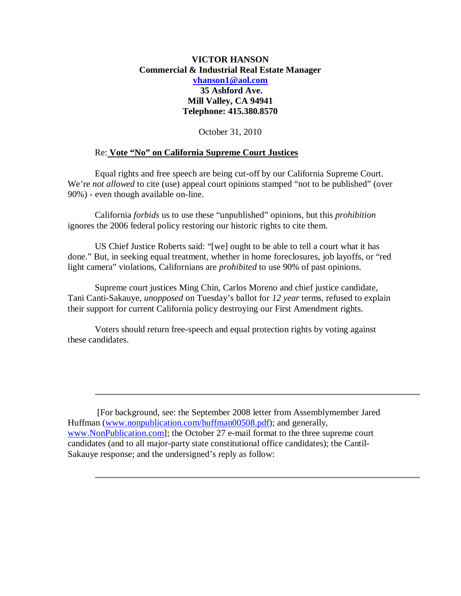## **VICTOR HANSON Commercial & Industrial Real Estate Manager vhanson1@aol.com 35 Ashford Ave. Mill Valley, CA 94941**

**Telephone: 415.380.8570**

October 31, 2010

## Re: **Vote "No" on California Supreme Court Justices**

Equal rights and free speech are being cut-off by our California Supreme Court. We're *not allowed* to cite (use) appeal court opinions stamped "not to be published" (over 90%) - even though available on-line.

California *forbids* us to use these "unpublished" opinions, but this *prohibition* ignores the 2006 federal policy restoring our historic rights to cite them.

US Chief Justice Roberts said: "[we] ought to be able to tell a court what it has done." But, in seeking equal treatment, whether in home foreclosures, job layoffs, or "red light camera" violations, Californians are *prohibited* to use 90% of past opinions.

Supreme court justices Ming Chin, Carlos Moreno and chief justice candidate, Tani Canti-Sakauye, *unopposed* on Tuesday's ballot for *12 year* terms, refused to explain their support for current California policy destroying our First Amendment rights.

Voters should return free-speech and equal protection rights by voting against these candidates.

 [For background, see: the September 2008 letter from Assemblymember Jared Huffman (www.nonpublication.com/huffman00508.pdf); and generally, www.NonPublication.com]; the October 27 e-mail format to the three supreme court candidates (and to all major-party state constitutional office candidates); the Cantil-Sakauye response; and the undersigned's reply as follow: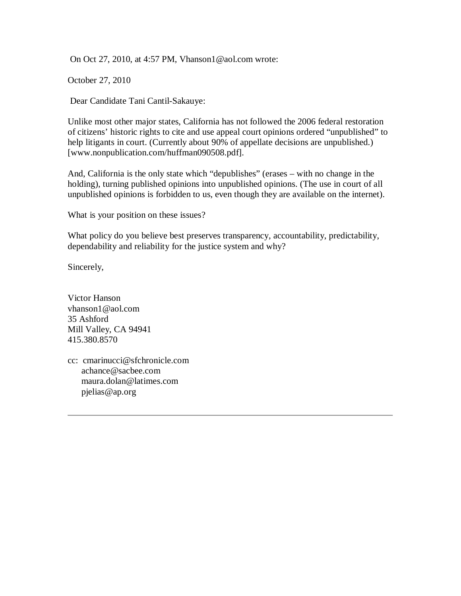On Oct 27, 2010, at 4:57 PM, Vhanson1@aol.com wrote:

October 27, 2010

Dear Candidate Tani Cantil-Sakauye:

Unlike most other major states, California has not followed the 2006 federal restoration of citizens' historic rights to cite and use appeal court opinions ordered "unpublished" to help litigants in court. (Currently about 90% of appellate decisions are unpublished.) [www.nonpublication.com/huffman090508.pdf].

And, California is the only state which "depublishes" (erases – with no change in the holding), turning published opinions into unpublished opinions. (The use in court of all unpublished opinions is forbidden to us, even though they are available on the internet).

What is your position on these issues?

What policy do you believe best preserves transparency, accountability, predictability, dependability and reliability for the justice system and why?

Sincerely,

Victor Hanson vhanson1@aol.com 35 Ashford Mill Valley, CA 94941 415.380.8570

cc: cmarinucci@sfchronicle.com achance@sacbee.com maura.dolan@latimes.com pjelias@ap.org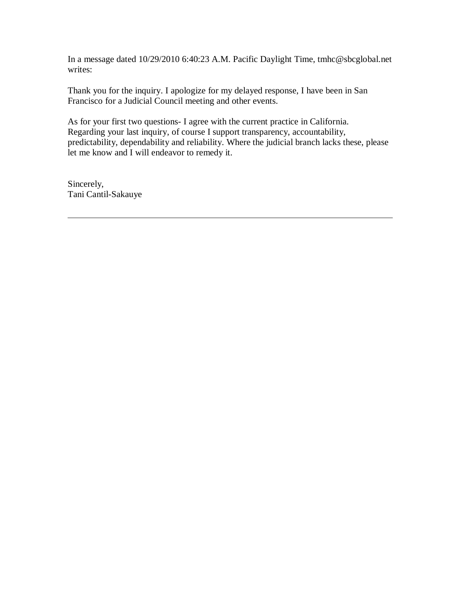In a message dated 10/29/2010 6:40:23 A.M. Pacific Daylight Time, tmhc@sbcglobal.net writes:

Thank you for the inquiry. I apologize for my delayed response, I have been in San Francisco for a Judicial Council meeting and other events.

As for your first two questions- I agree with the current practice in California. Regarding your last inquiry, of course I support transparency, accountability, predictability, dependability and reliability. Where the judicial branch lacks these, please let me know and I will endeavor to remedy it.

Sincerely, Tani Cantil-Sakauye